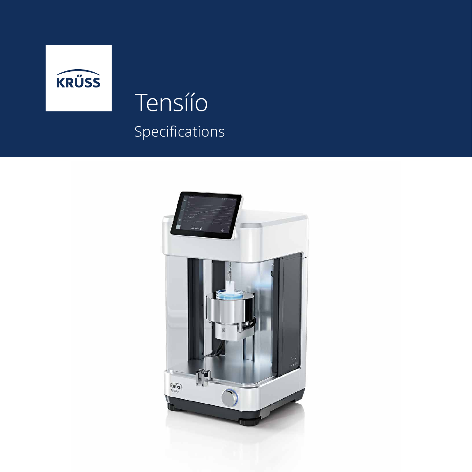

## Tensíío Specifications

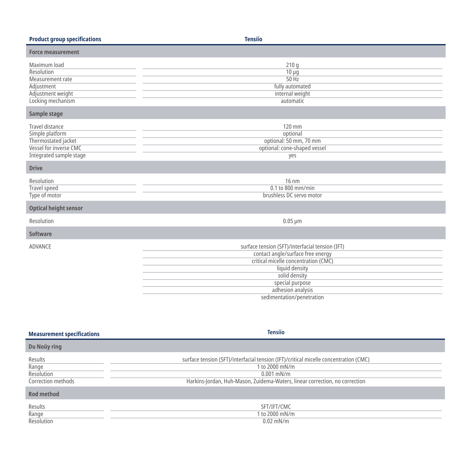| <b>Product group specifications</b>                                                                                          | <b>Tensíío</b>                                                                                                                                                                                                                       |
|------------------------------------------------------------------------------------------------------------------------------|--------------------------------------------------------------------------------------------------------------------------------------------------------------------------------------------------------------------------------------|
| <b>Force measurement</b>                                                                                                     |                                                                                                                                                                                                                                      |
| Maximum load<br>Resolution<br>Measurement rate<br>Adjustment<br>Adjustment weight<br>Locking mechanism<br>Sample stage       | 210q<br>$10 \mu g$<br>50 Hz<br>fully automated<br>internal weight<br>automatic                                                                                                                                                       |
| <b>Travel distance</b><br>Simple platform<br>Thermostated jacket<br>Vessel for inverse CMC<br><b>Integrated sample stage</b> | 120 mm<br>optional<br>optional: 50 mm, 70 mm<br>optional: cone-shaped vessel<br>yes                                                                                                                                                  |
| <b>Drive</b>                                                                                                                 |                                                                                                                                                                                                                                      |
| Resolution<br>Travel speed<br>Type of motor                                                                                  | 16 nm<br>0.1 to 800 mm/min<br>brushless DC servo motor                                                                                                                                                                               |
| <b>Optical height sensor</b>                                                                                                 |                                                                                                                                                                                                                                      |
| Resolution                                                                                                                   | $0.05 \mu m$                                                                                                                                                                                                                         |
| <b>Software</b>                                                                                                              |                                                                                                                                                                                                                                      |
| ADVANCE                                                                                                                      | surface tension (SFT)/interfacial tension (IFT)<br>contact angle/surface free energy<br>critical micelle concentration (CMC)<br>liquid density<br>solid density<br>special purpose<br>adhesion analysis<br>sedimentation/penetration |

| <b>Measurement specifications</b>                                  | <b>Tensíío</b>                                                                                                                                                                                        |
|--------------------------------------------------------------------|-------------------------------------------------------------------------------------------------------------------------------------------------------------------------------------------------------|
| Du Noüy ring                                                       |                                                                                                                                                                                                       |
| Results<br>Range<br>Resolution<br>Correction methods<br>Rod method | surface tension (SFT)/interfacial tension (IFT)/critical micelle concentration (CMC)<br>1 to 2000 mN/m<br>$0.001$ mN/m<br>Harkins-Jordan, Huh-Mason, Zuidema-Waters, linear correction, no correction |
| Results<br>Range<br>Resolution                                     | SFT/IFT/CMC<br>1 to 2000 mN/m<br>$0.02$ mN/m                                                                                                                                                          |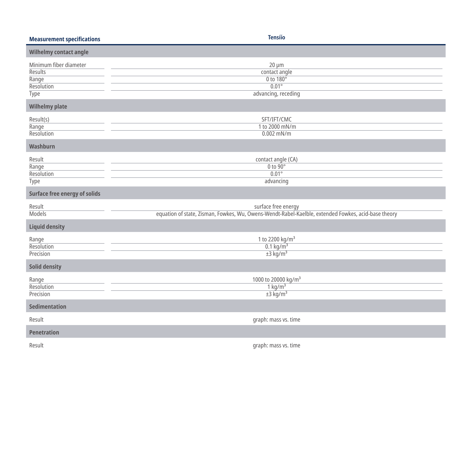| <b>Measurement specifications</b>                                       | <b>Tensíío</b>                                                                                                             |  |  |  |
|-------------------------------------------------------------------------|----------------------------------------------------------------------------------------------------------------------------|--|--|--|
| Wilhelmy contact angle                                                  |                                                                                                                            |  |  |  |
| Minimum fiber diameter<br><b>Results</b><br>Range<br>Resolution<br>Type | $20 \mu m$<br>contact angle<br>0 to 180°<br>$0.01^\circ$<br>advancing, receding                                            |  |  |  |
| <b>Wilhelmy plate</b>                                                   |                                                                                                                            |  |  |  |
| Result(s)<br>Range<br>Resolution                                        | SFT/IFT/CMC<br>1 to 2000 mN/m<br>$0.002$ mN/m                                                                              |  |  |  |
| Washburn                                                                |                                                                                                                            |  |  |  |
| Result<br>Range<br>Resolution<br><b>Type</b>                            | contact angle (CA)<br>$0$ to $90^\circ$<br>$0.01^\circ$<br>advancing                                                       |  |  |  |
| <b>Surface free energy of solids</b>                                    |                                                                                                                            |  |  |  |
| Result<br>Models                                                        | surface free energy<br>equation of state, Zisman, Fowkes, Wu, Owens-Wendt-Rabel-Kaelble, extended Fowkes, acid-base theory |  |  |  |
| <b>Liquid density</b>                                                   |                                                                                                                            |  |  |  |
| Range<br>Resolution<br>Precision                                        | 1 to 2200 kg/m <sup>3</sup><br>$0.1$ kg/m <sup>3</sup><br>$±3$ kg/m <sup>3</sup>                                           |  |  |  |
| <b>Solid density</b>                                                    |                                                                                                                            |  |  |  |
| Range<br>Resolution<br>Precision                                        | 1000 to 20000 kg/m <sup>3</sup><br>$1 \text{ kg/m}^3$<br>$±3$ kg/m <sup>3</sup>                                            |  |  |  |
| Sedimentation                                                           |                                                                                                                            |  |  |  |
| Result                                                                  | graph: mass vs. time                                                                                                       |  |  |  |
| <b>Penetration</b>                                                      |                                                                                                                            |  |  |  |
| Result                                                                  | graph: mass vs. time                                                                                                       |  |  |  |